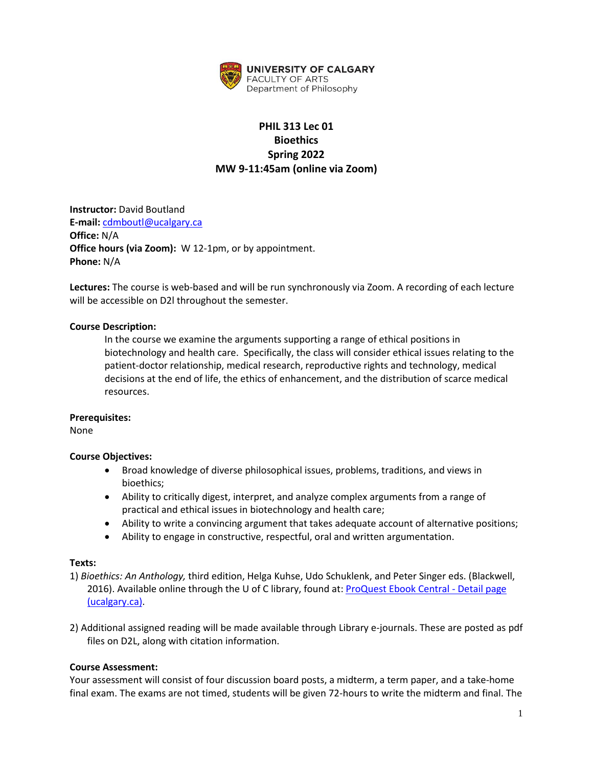

# **PHIL 313 Lec 01 Bioethics Spring 2022 MW 9-11:45am (online via Zoom)**

**Instructor:** David Boutland **E-mail:** [cdmboutl@ucalgary.ca](mailto:cdmboutl@ucalgary.ca) **Office:** N/A **Office hours (via Zoom):** W 12-1pm, or by appointment. **Phone:** N/A

**Lectures:** The course is web-based and will be run synchronously via Zoom. A recording of each lecture will be accessible on D2l throughout the semester.

## **Course Description:**

In the course we examine the arguments supporting a range of ethical positions in biotechnology and health care. Specifically, the class will consider ethical issues relating to the patient-doctor relationship, medical research, reproductive rights and technology, medical decisions at the end of life, the ethics of enhancement, and the distribution of scarce medical resources.

#### **Prerequisites:**

None

#### **Course Objectives:**

- Broad knowledge of diverse philosophical issues, problems, traditions, and views in bioethics;
- Ability to critically digest, interpret, and analyze complex arguments from a range of practical and ethical issues in biotechnology and health care;
- Ability to write a convincing argument that takes adequate account of alternative positions;
- Ability to engage in constructive, respectful, oral and written argumentation.

#### **Texts:**

- 1) *Bioethics: An Anthology,* third edition, Helga Kuhse, Udo Schuklenk, and Peter Singer eds. (Blackwell, 2016). Available online through the U of C library, found at: [ProQuest Ebook Central -](https://ebookcentral-proquest-com.ezproxy.lib.ucalgary.ca/lib/ucalgary-ebooks/detail.action?pq-origsite=primo&docID=4042986) Detail page [\(ucalgary.ca\).](https://ebookcentral-proquest-com.ezproxy.lib.ucalgary.ca/lib/ucalgary-ebooks/detail.action?pq-origsite=primo&docID=4042986)
- 2) Additional assigned reading will be made available through Library e-journals. These are posted as pdf files on D2L, along with citation information.

#### **Course Assessment:**

Your assessment will consist of four discussion board posts, a midterm, a term paper, and a take-home final exam. The exams are not timed, students will be given 72-hours to write the midterm and final. The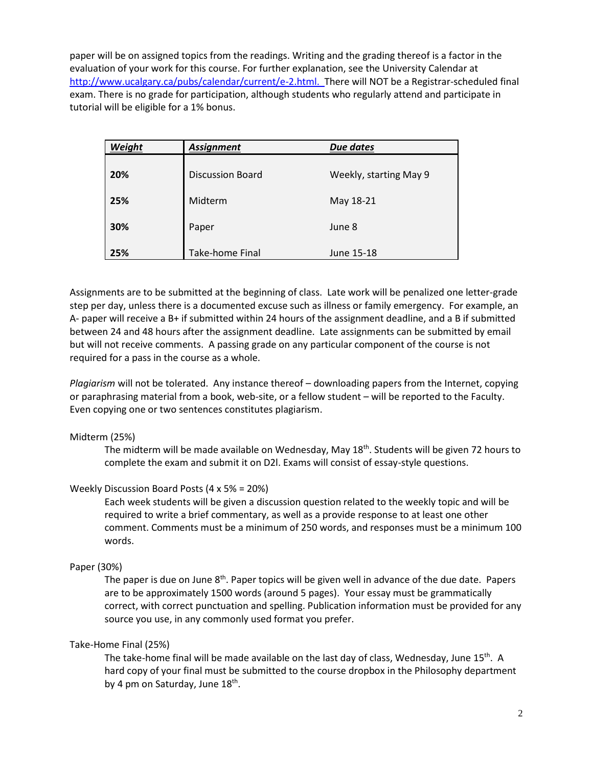paper will be on assigned topics from the readings. Writing and the grading thereof is a factor in the evaluation of your work for this course. For further explanation, see the University Calendar at [http://www.ucalgary.ca/pubs/calendar/current/e-2.html.](http://www.ucalgary.ca/pubs/calendar/current/e-2.html) There will NOT be a Registrar-scheduled final exam. There is no grade for participation, although students who regularly attend and participate in tutorial will be eligible for a 1% bonus.

| Weight | <b>Assignment</b>       | <b>Due dates</b>       |  |
|--------|-------------------------|------------------------|--|
| 20%    | <b>Discussion Board</b> | Weekly, starting May 9 |  |
| 25%    | Midterm                 | May 18-21              |  |
| 30%    | Paper                   | June 8                 |  |
| 25%    | <b>Take-home Final</b>  | June 15-18             |  |

Assignments are to be submitted at the beginning of class. Late work will be penalized one letter-grade step per day, unless there is a documented excuse such as illness or family emergency. For example, an A- paper will receive a B+ if submitted within 24 hours of the assignment deadline, and a B if submitted between 24 and 48 hours after the assignment deadline. Late assignments can be submitted by email but will not receive comments. A passing grade on any particular component of the course is not required for a pass in the course as a whole.

*Plagiarism* will not be tolerated. Any instance thereof – downloading papers from the Internet, copying or paraphrasing material from a book, web-site, or a fellow student – will be reported to the Faculty. Even copying one or two sentences constitutes plagiarism.

## Midterm (25%)

The midterm will be made available on Wednesday, May 18<sup>th</sup>. Students will be given 72 hours to complete the exam and submit it on D2l. Exams will consist of essay-style questions.

## Weekly Discussion Board Posts (4 x 5% = 20%)

Each week students will be given a discussion question related to the weekly topic and will be required to write a brief commentary, as well as a provide response to at least one other comment. Comments must be a minimum of 250 words, and responses must be a minimum 100 words.

## Paper (30%)

The paper is due on June 8<sup>th</sup>. Paper topics will be given well in advance of the due date. Papers are to be approximately 1500 words (around 5 pages). Your essay must be grammatically correct, with correct punctuation and spelling. Publication information must be provided for any source you use, in any commonly used format you prefer.

## Take-Home Final (25%)

The take-home final will be made available on the last day of class, Wednesday, June 15<sup>th</sup>. A hard copy of your final must be submitted to the course dropbox in the Philosophy department by 4 pm on Saturday, June 18<sup>th</sup>.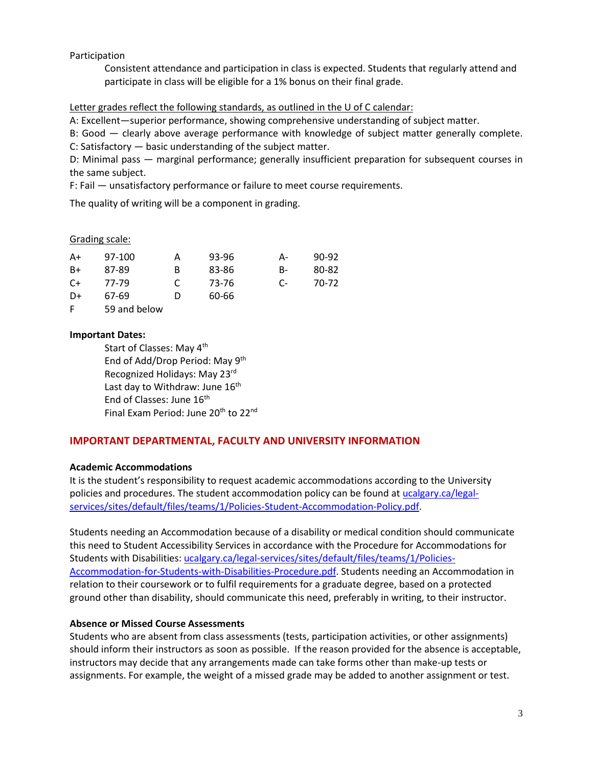Participation

Consistent attendance and participation in class is expected. Students that regularly attend and participate in class will be eligible for a 1% bonus on their final grade.

## Letter grades reflect the following standards, as outlined in the U of C calendar:

A: Excellent—superior performance, showing comprehensive understanding of subject matter.

B: Good — clearly above average performance with knowledge of subject matter generally complete. C: Satisfactory — basic understanding of the subject matter.

D: Minimal pass — marginal performance; generally insufficient preparation for subsequent courses in the same subject.

F: Fail — unsatisfactory performance or failure to meet course requirements.

The quality of writing will be a component in grading.

#### Grading scale:

| A+   | 97-100 | А | 93-96 | А- | 90-92 |
|------|--------|---|-------|----|-------|
| B+   | 87-89  | B | 83-86 | B- | 80-82 |
| $C+$ | 77-79  |   | 73-76 | C- | 70-72 |
| D+   | 67-69  | D | 60-66 |    |       |

F 59 and below

## **Important Dates:**

Start of Classes: May 4th End of Add/Drop Period: May 9<sup>th</sup> Recognized Holidays: May 23rd Last day to Withdraw: June 16<sup>th</sup> End of Classes: June 16<sup>th</sup> Final Exam Period: June 20<sup>th</sup> to 22<sup>nd</sup>

## **IMPORTANT DEPARTMENTAL, FACULTY AND UNIVERSITY INFORMATION**

## **Academic Accommodations**

It is the student's responsibility to request academic accommodations according to the University policies and procedures. The student accommodation policy can be found a[t ucalgary.ca/legal](http://www.ucalgary.ca/legal-services/sites/default/files/teams/1/Policies-Student-Accommodation-Policy.pdf)[services/sites/default/files/teams/1/Policies-Student-Accommodation-Policy.pdf.](http://www.ucalgary.ca/legal-services/sites/default/files/teams/1/Policies-Student-Accommodation-Policy.pdf)

Students needing an Accommodation because of a disability or medical condition should communicate this need to Student Accessibility Services in accordance with the Procedure for Accommodations for Students with Disabilities: [ucalgary.ca/legal-services/sites/default/files/teams/1/Policies-](https://www.ucalgary.ca/legal-services/sites/default/files/teams/1/Policies-Accommodation-for-Students-with-Disabilities-Procedure.pdf)[Accommodation-for-Students-with-Disabilities-Procedure.pdf.](https://www.ucalgary.ca/legal-services/sites/default/files/teams/1/Policies-Accommodation-for-Students-with-Disabilities-Procedure.pdf) Students needing an Accommodation in relation to their coursework or to fulfil requirements for a graduate degree, based on a protected ground other than disability, should communicate this need, preferably in writing, to their instructor.

## **Absence or Missed Course Assessments**

Students who are absent from class assessments (tests, participation activities, or other assignments) should inform their instructors as soon as possible. If the reason provided for the absence is acceptable, instructors may decide that any arrangements made can take forms other than make-up tests or assignments. For example, the weight of a missed grade may be added to another assignment or test.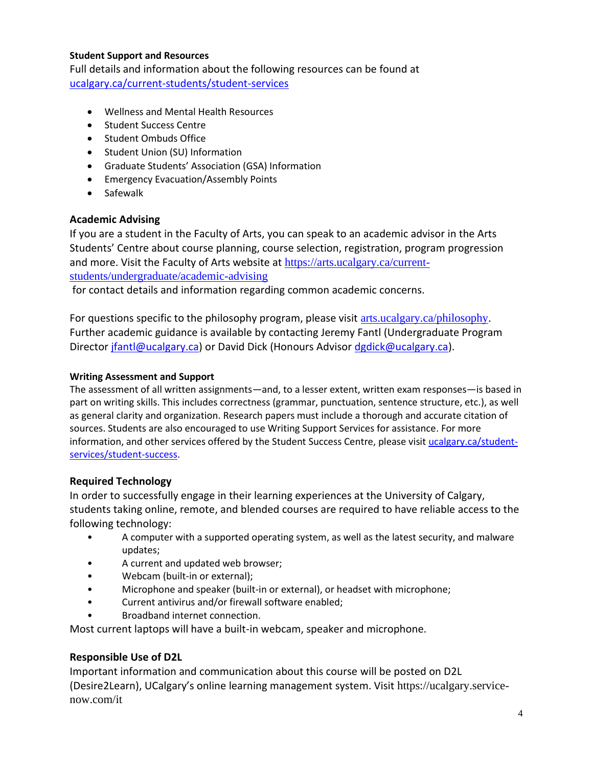## **Student Support and Resources**

Full details and information about the following resources can be found at [ucalgary.ca/current-students/student-services](https://www.ucalgary.ca/current-students/student-services)

- Wellness and Mental Health Resources
- Student Success Centre
- Student Ombuds Office
- Student Union (SU) Information
- Graduate Students' Association (GSA) Information
- Emergency Evacuation/Assembly Points
- Safewalk

# **Academic Advising**

If you are a student in the Faculty of Arts, you can speak to an academic advisor in the Arts Students' Centre about course planning, course selection, registration, program progression and more. Visit the Faculty of Arts website at [https://arts.ucalgary.ca/current](https://arts.ucalgary.ca/current-students/undergraduate/academic-advising)[students/undergraduate/academic-advising](https://arts.ucalgary.ca/current-students/undergraduate/academic-advising)

for contact details and information regarding common academic concerns.

For questions specific to the philosophy program, please visit [arts.ucalgary.ca/philosophy.](file:///C:/Users/btclarke/AppData/Local/Microsoft/Windows/INetCache/Content.Outlook/Q3DSKIFK/arts.ucalgary.ca/philosophy) Further academic guidance is available by contacting Jeremy Fantl (Undergraduate Program Director [jfantl@ucalgary.ca\)](mailto:jfantl@ucalgary.ca) or David Dick (Honours Advisor [dgdick@ucalgary.ca\)](mailto:dgdick@ucalgary.ca).

# **Writing Assessment and Support**

The assessment of all written assignments—and, to a lesser extent, written exam responses—is based in part on writing skills. This includes correctness (grammar, punctuation, sentence structure, etc.), as well as general clarity and organization. Research papers must include a thorough and accurate citation of sources. Students are also encouraged to use Writing Support Services for assistance. For more information, and other services offered by the Student Success Centre, please visit [ucalgary.ca/student](https://ucalgary.ca/student-services/student-success)[services/student-success.](https://ucalgary.ca/student-services/student-success)

# **Required Technology**

In order to successfully engage in their learning experiences at the University of Calgary, students taking online, remote, and blended courses are required to have reliable access to the following technology:

- A computer with a supported operating system, as well as the latest security, and malware updates;
- A current and updated web browser;
- Webcam (built-in or external);
- Microphone and speaker (built-in or external), or headset with microphone;
- Current antivirus and/or firewall software enabled;
- Broadband internet connection.

Most current laptops will have a built-in webcam, speaker and microphone.

# **Responsible Use of D2L**

Important information and communication about this course will be posted on D2L (Desire2Learn), UCalgary's online learning management system. Visit https://ucalgary.servicenow.com/it